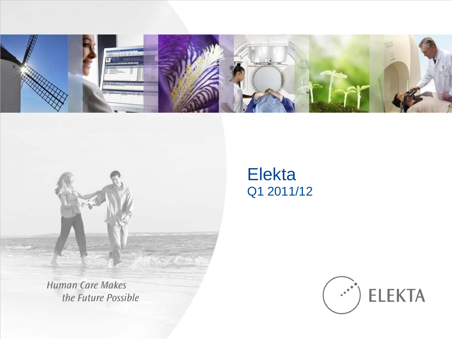



**Human Care Makes** the Future Possible

### Elekta Q1 2011/12

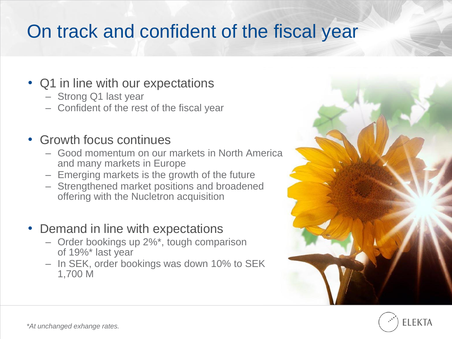## On track and confident of the fiscal year

#### • Q1 in line with our expectations

- Strong Q1 last year
- Confident of the rest of the fiscal year

#### • Growth focus continues

- Good momentum on our markets in North America and many markets in Europe
- Emerging markets is the growth of the future
- Strengthened market positions and broadened offering with the Nucletron acquisition
- Demand in line with expectations
	- Order bookings up 2%\*, tough comparison of 19%\* last year
	- In SEK, order bookings was down 10% to SEK 1,700 M



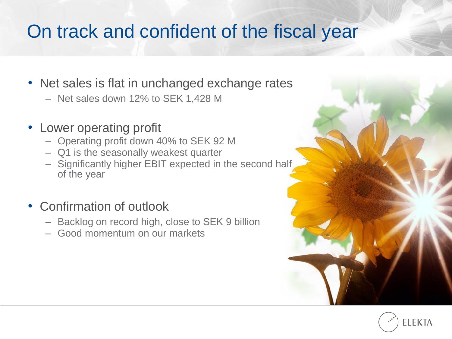## On track and confident of the fiscal year

- Net sales is flat in unchanged exchange rates
	- Net sales down 12% to SEK 1,428 M
- Lower operating profit
	- Operating profit down 40% to SEK 92 M
	- Q1 is the seasonally weakest quarter
	- Significantly higher EBIT expected in the second half of the year
- Confirmation of outlook
	- Backlog on record high, close to SEK 9 billion
	- Good momentum on our markets

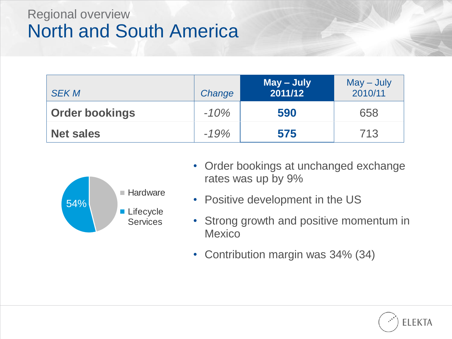### Regional overview North and South America

| <b>SEK M</b>          | Change | May – July<br>2011/12 | $May - July$<br>2010/11 |
|-----------------------|--------|-----------------------|-------------------------|
| <b>Order bookings</b> | $-10%$ | 590                   | 658                     |
| <b>Net sales</b>      | $-19%$ | 575                   | 713                     |



- Order bookings at unchanged exchange rates was up by 9%
- Positive development in the US
- Strong growth and positive momentum in **Mexico**
- Contribution margin was 34% (34)

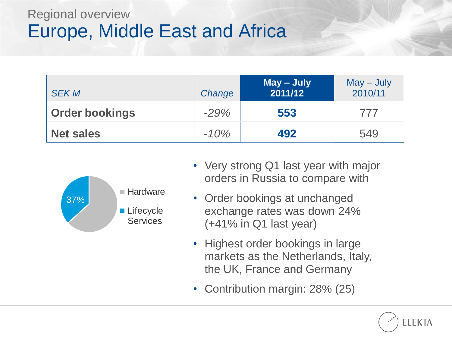### Regional overview Europe, Middle East and Africa

| <b>SEK M</b>          | Change | May - July<br>2011/12 | $May - July$<br>2010/11 |
|-----------------------|--------|-----------------------|-------------------------|
| <b>Order bookings</b> | $-29%$ | 553                   | 777                     |
| <b>Net sales</b>      | $-10%$ | 492                   | 549                     |



- Very strong Q1 last year with major orders in Russia to compare with
- Order bookings at unchanged exchange rates was down 24% (+41% in Q1 last year)
- Highest order bookings in large markets as the Netherlands, Italy, the UK, France and Germany
- Contribution margin: 28% (25)

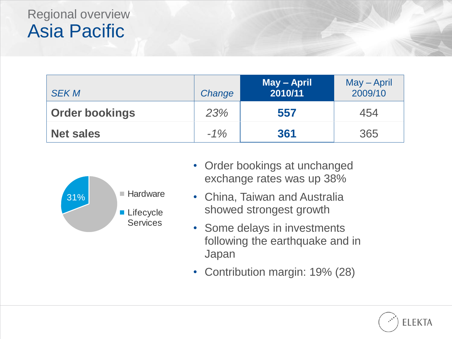### Regional overview Asia Pacific

| <b>SEK M</b>          | Change | May - April<br>2010/11 | May – April<br>2009/10 |
|-----------------------|--------|------------------------|------------------------|
| <b>Order bookings</b> | 23%    | 557                    | 454                    |
| <b>Net sales</b>      | $-1\%$ | 361                    | 365                    |



- Order bookings at unchanged exchange rates was up 38%
- China, Taiwan and Australia showed strongest growth
- Some delays in investments following the earthquake and in Japan
- Contribution margin: 19% (28)

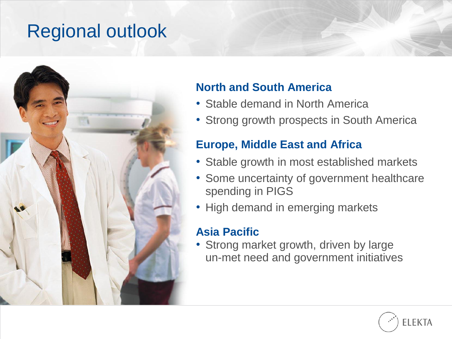## Regional outlook



#### **North and South America**

- Stable demand in North America
- Strong growth prospects in South America

#### **Europe, Middle East and Africa**

- Stable growth in most established markets
- Some uncertainty of government healthcare spending in PIGS
- High demand in emerging markets

#### **Asia Pacific**

• Strong market growth, driven by large un-met need and government initiatives

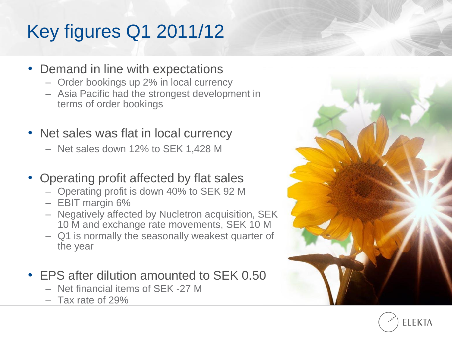# Key figures Q1 2011/12

- Demand in line with expectations
	- Order bookings up 2% in local currency
	- Asia Pacific had the strongest development in terms of order bookings
- Net sales was flat in local currency
	- Net sales down 12% to SEK 1,428 M
- Operating profit affected by flat sales
	- Operating profit is down 40% to SEK 92 M
	- EBIT margin 6%
	- Negatively affected by Nucletron acquisition, SEK 10 M and exchange rate movements, SEK 10 M
	- Q1 is normally the seasonally weakest quarter of the year
- EPS after dilution amounted to SEK 0.50
	- Net financial items of SEK -27 M
	- Tax rate of 29%



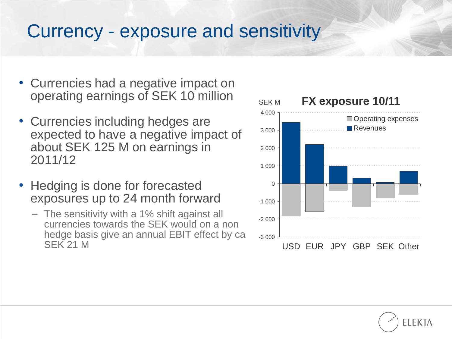## Currency - exposure and sensitivity

- Currencies had a negative impact on operating earnings of SEK 10 million
- Currencies including hedges are expected to have a negative impact of about SEK 125 M on earnings in 2011/12
- Hedging is done for forecasted exposures up to 24 month forward
	- The sensitivity with a 1% shift against all currencies towards the SEK would on a non hedge basis give an annual EBIT effect by ca SEK 21 M



FI FKTA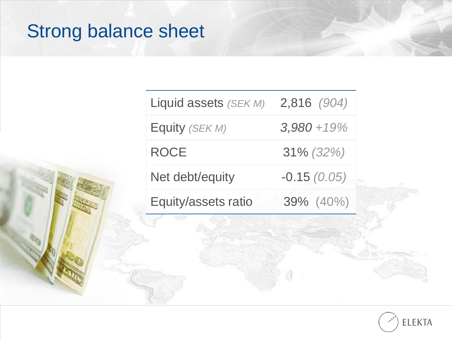# Strong balance sheet

| Equity (SEK M)      | $3,980 + 19\%$ |
|---------------------|----------------|
| <b>ROCE</b>         | $31\% (32\%)$  |
| Net debt/equity     | $-0.15(0.05)$  |
| Equity/assets ratio | 39% (40%)      |

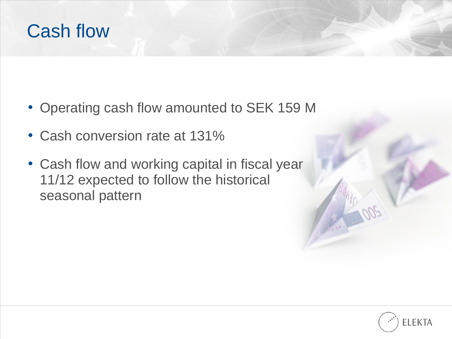## Cash flow

- Operating cash flow amounted to SEK 159 M
- Cash conversion rate at 131%
- Cash flow and working capital in fiscal year 11/12 expected to follow the historical seasonal pattern

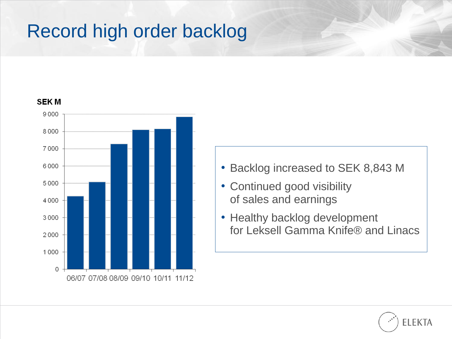# Record high order backlog

#### **SEKM** 9000 8000 7000 6000 5000 4000 3000 2000 1000  $\circ$ 06/07 07/08 08/09 09/10 10/11 11/12

- Backlog increased to SEK 8,843 M
- Continued good visibility of sales and earnings
- Healthy backlog development for Leksell Gamma Knife® and Linacs

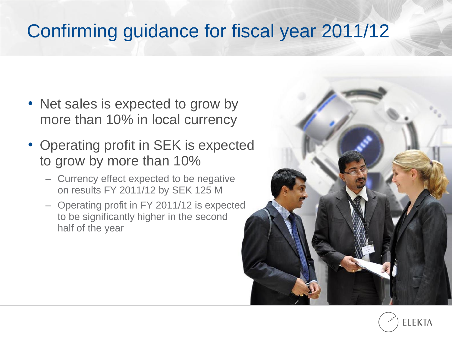# Confirming guidance for fiscal year 2011/12

- Net sales is expected to grow by more than 10% in local currency
- Operating profit in SEK is expected to grow by more than 10%
	- Currency effect expected to be negative on results FY 2011/12 by SEK 125 M
	- Operating profit in FY 2011/12 is expected to be significantly higher in the second half of the year